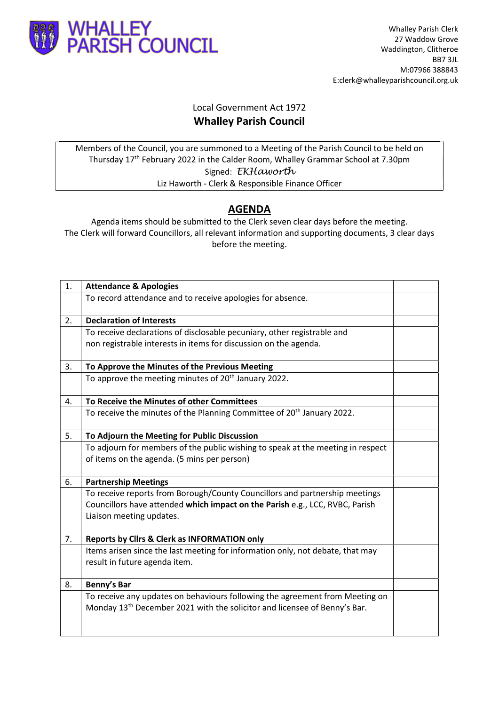

## Local Government Act 1972 Whalley Parish Council

Members of the Council, you are summoned to a Meeting of the Parish Council to be held on Thursday 17th February 2022 in the Calder Room, Whalley Grammar School at 7.30pm Signed: EKHaworth Liz Haworth - Clerk & Responsible Finance Officer

## AGENDA

Agenda items should be submitted to the Clerk seven clear days before the meeting. The Clerk will forward Councillors, all relevant information and supporting documents, 3 clear days before the meeting.

| 1. | <b>Attendance &amp; Apologies</b>                                                     |  |
|----|---------------------------------------------------------------------------------------|--|
|    | To record attendance and to receive apologies for absence.                            |  |
| 2. | <b>Declaration of Interests</b>                                                       |  |
|    | To receive declarations of disclosable pecuniary, other registrable and               |  |
|    | non registrable interests in items for discussion on the agenda.                      |  |
| 3. | To Approve the Minutes of the Previous Meeting                                        |  |
|    | To approve the meeting minutes of 20 <sup>th</sup> January 2022.                      |  |
| 4. | To Receive the Minutes of other Committees                                            |  |
|    | To receive the minutes of the Planning Committee of 20 <sup>th</sup> January 2022.    |  |
| 5. | To Adjourn the Meeting for Public Discussion                                          |  |
|    | To adjourn for members of the public wishing to speak at the meeting in respect       |  |
|    | of items on the agenda. (5 mins per person)                                           |  |
| 6. | <b>Partnership Meetings</b>                                                           |  |
|    | To receive reports from Borough/County Councillors and partnership meetings           |  |
|    | Councillors have attended which impact on the Parish e.g., LCC, RVBC, Parish          |  |
|    | Liaison meeting updates.                                                              |  |
| 7. | Reports by Clirs & Clerk as INFORMATION only                                          |  |
|    | Items arisen since the last meeting for information only, not debate, that may        |  |
|    | result in future agenda item.                                                         |  |
| 8. | Benny's Bar                                                                           |  |
|    | To receive any updates on behaviours following the agreement from Meeting on          |  |
|    | Monday 13 <sup>th</sup> December 2021 with the solicitor and licensee of Benny's Bar. |  |
|    |                                                                                       |  |